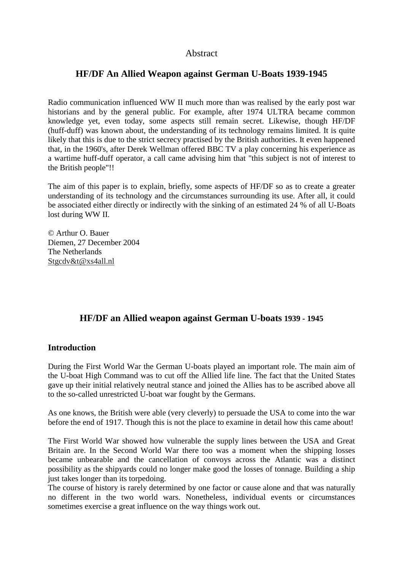# Abstract

# **HF/DF An Allied Weapon against German U-Boats 1939-1945**

Radio communication influenced WW II much more than was realised by the early post war historians and by the general public. For example, after 1974 ULTRA became common knowledge yet, even today, some aspects still remain secret. Likewise, though HF/DF (huff-duff) was known about, the understanding of its technology remains limited. It is quite likely that this is due to the strict secrecy practised by the British authorities. It even happened that, in the 1960's, after Derek Wellman offered BBC TV a play concerning his experience as a wartime huff-duff operator, a call came advising him that "this subject is not of interest to the British people"!!

The aim of this paper is to explain, briefly, some aspects of HF/DF so as to create a greater understanding of its technology and the circumstances surrounding its use. After all, it could be associated either directly or indirectly with the sinking of an estimated 24 % of all U-Boats lost during WW II.

© Arthur O. Bauer Diemen, 27 December 2004 The Netherlands Stgcdv&t@xs4all.nl

# **HF/DF an Allied weapon against German U-boats 1939 - 1945**

## **Introduction**

During the First World War the German U-boats played an important role. The main aim of the U-boat High Command was to cut off the Allied life line. The fact that the United States gave up their initial relatively neutral stance and joined the Allies has to be ascribed above all to the so-called unrestricted U-boat war fought by the Germans.

As one knows, the British were able (very cleverly) to persuade the USA to come into the war before the end of 1917. Though this is not the place to examine in detail how this came about!

The First World War showed how vulnerable the supply lines between the USA and Great Britain are. In the Second World War there too was a moment when the shipping losses became unbearable and the cancellation of convoys across the Atlantic was a distinct possibility as the shipyards could no longer make good the losses of tonnage. Building a ship just takes longer than its torpedoing.

The course of history is rarely determined by one factor or cause alone and that was naturally no different in the two world wars. Nonetheless, individual events or circumstances sometimes exercise a great influence on the way things work out.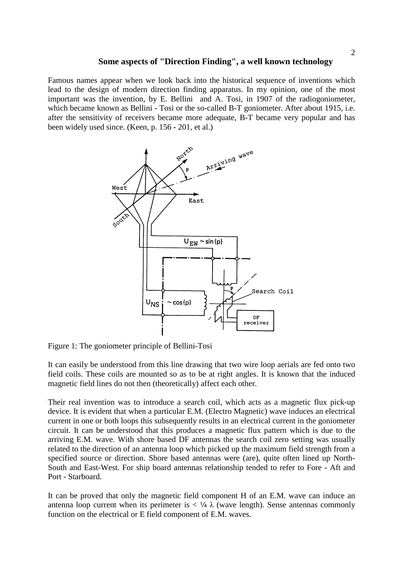#### **Some aspects of "Direction Finding", a well known technology**

Famous names appear when we look back into the historical sequence of inventions which lead to the design of modern direction finding apparatus. In my opinion, one of the most important was the invention, by E. Bellini and A. Tosi, in 1907 of the radiogoniometer, which became known as Bellini - Tosi or the so-called B-T goniometer. After about 1915, i.e. after the sensitivity of receivers became more adequate, B-T became very popular and has been widely used since. (Keen, p. 156 - 201, et al.)



Figure 1: The goniometer principle of Bellini-Tosi

It can easily be understood from this line drawing that two wire loop aerials are fed onto two field coils. These coils are mounted so as to be at right angles. It is known that the induced magnetic field lines do not then (theoretically) affect each other.

Their real invention was to introduce a search coil, which acts as a magnetic flux pick-up device. It is evident that when a particular E.M. (Electro Magnetic) wave induces an electrical current in one or both loops this subsequently results in an electrical current in the goniometer circuit. It can be understood that this produces a magnetic flux pattern which is due to the arriving E.M. wave. With shore based DF antennas the search coil zero setting was usually related to the direction of an antenna loop which picked up the maximum field strength from a specified source or direction. Shore based antennas were (are), quite often lined up North-South and East-West. For ship board antennas relationship tended to refer to Fore - Aft and Port - Starboard.

It can be proved that only the magnetic field component H of an E.M. wave can induce an antenna loop current when its perimeter is  $\langle \frac{1}{4} \lambda \rangle$  (wave length). Sense antennas commonly function on the electrical or E field component of E.M. waves.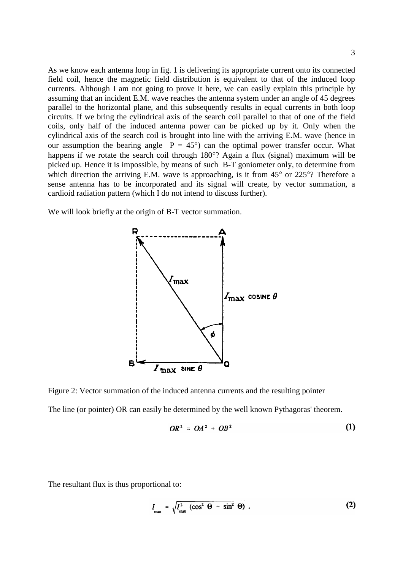As we know each antenna loop in fig. 1 is delivering its appropriate current onto its connected field coil, hence the magnetic field distribution is equivalent to that of the induced loop currents. Although I am not going to prove it here, we can easily explain this principle by assuming that an incident E.M. wave reaches the antenna system under an angle of 45 degrees parallel to the horizontal plane, and this subsequently results in equal currents in both loop circuits. If we bring the cylindrical axis of the search coil parallel to that of one of the field coils, only half of the induced antenna power can be picked up by it. Only when the cylindrical axis of the search coil is brought into line with the arriving E.M. wave (hence in our assumption the bearing angle  $P = 45^{\circ}$  can the optimal power transfer occur. What happens if we rotate the search coil through 180°? Again a flux (signal) maximum will be picked up. Hence it is impossible, by means of such B-T goniometer only, to determine from which direction the arriving E.M. wave is approaching, is it from 45° or 225°? Therefore a sense antenna has to be incorporated and its signal will create, by vector summation, a cardioid radiation pattern (which I do not intend to discuss further).

We will look briefly at the origin of B-T vector summation.



Figure 2: Vector summation of the induced antenna currents and the resulting pointer The line (or pointer) OR can easily be determined by the well known Pythagoras' theorem.

$$
OR^2 = OA^2 + OB^2 \tag{1}
$$

The resultant flux is thus proportional to:

$$
I_{\max} = \sqrt{I_{\max}^2 \left(\cos^2 \Theta + \sin^2 \Theta\right)} \ . \tag{2}
$$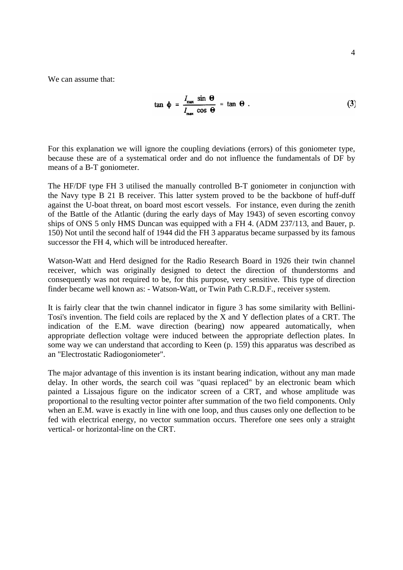We can assume that:

$$
\tan \phi = \frac{I_{\text{max}} \sin \Theta}{I_{\text{max}} \cos \Theta} = \tan \Theta.
$$
 (3)

For this explanation we will ignore the coupling deviations (errors) of this goniometer type, because these are of a systematical order and do not influence the fundamentals of DF by means of a B-T goniometer.

The HF/DF type FH 3 utilised the manually controlled B-T goniometer in conjunction with the Navy type B 21 B receiver. This latter system proved to be the backbone of huff-duff against the U-boat threat, on board most escort vessels. For instance, even during the zenith of the Battle of the Atlantic (during the early days of May 1943) of seven escorting convoy ships of ONS 5 only HMS Duncan was equipped with a FH 4. (ADM 237/113, and Bauer, p. 150) Not until the second half of 1944 did the FH 3 apparatus became surpassed by its famous successor the FH 4, which will be introduced hereafter.

Watson-Watt and Herd designed for the Radio Research Board in 1926 their twin channel receiver, which was originally designed to detect the direction of thunderstorms and consequently was not required to be, for this purpose, very sensitive. This type of direction finder became well known as: - Watson-Watt, or Twin Path C.R.D.F., receiver system.

It is fairly clear that the twin channel indicator in figure 3 has some similarity with Bellini-Tosi's invention. The field coils are replaced by the X and Y deflection plates of a CRT. The indication of the E.M. wave direction (bearing) now appeared automatically, when appropriate deflection voltage were induced between the appropriate deflection plates. In some way we can understand that according to Keen (p. 159) this apparatus was described as an "Electrostatic Radiogoniometer".

The major advantage of this invention is its instant bearing indication, without any man made delay. In other words, the search coil was "quasi replaced" by an electronic beam which painted a Lissajous figure on the indicator screen of a CRT, and whose amplitude was proportional to the resulting vector pointer after summation of the two field components. Only when an E.M. wave is exactly in line with one loop, and thus causes only one deflection to be fed with electrical energy, no vector summation occurs. Therefore one sees only a straight vertical- or horizontal-line on the CRT.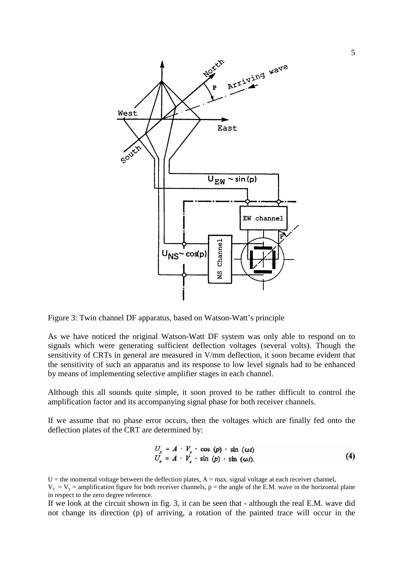

Figure 3: Twin channel DF apparatus, based on Watson-Watt's principle

As we have noticed the original Watson-Watt DF system was only able to respond on to signals which were generating sufficient deflection voltages (several volts). Though the sensitivity of CRTs in general are measured in V/mm deflection, it soon became evident that the sensitivity of such an apparatus and its response to low level signals had to be enhanced by means of implementing selective amplifier stages in each channel.

Although this all sounds quite simple, it soon proved to be rather difficult to control the amplification factor and its accompanying signal phase for both receiver channels.

If we assume that no phase error occurs, then the voltages which are finally fed onto the deflection plates of the CRT are determined by:

$$
U_y = A \cdot V_y \cdot \cos(p) \cdot \sin(\omega t)
$$
  
\n
$$
U_x = A \cdot V_x \cdot \sin(p) \cdot \sin(\omega t).
$$
 (4)

If we look at the circuit shown in fig. 3, it can be seen that - although the real E.M. wave did not change its direction (p) of arriving, a rotation of the painted trace will occur in the

 $U =$  the momental voltage between the deflection plates,  $A =$  max. signal voltage at each receiver channel,

 $V_x = V_y =$  amplification figure for both receiver channels, p = the angle of the E.M. wave in the horizontal plane in respect to the zero degree reference.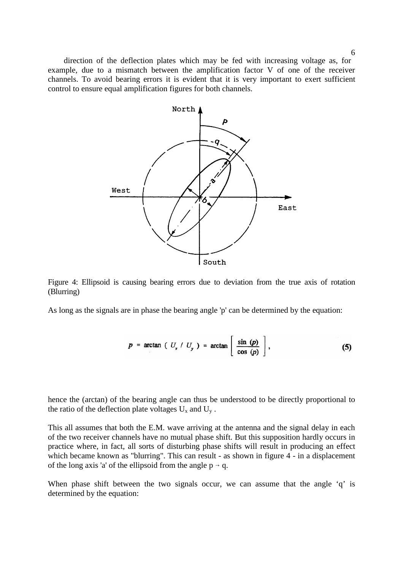direction of the deflection plates which may be fed with increasing voltage as, for example, due to a mismatch between the amplification factor V of one of the receiver channels. To avoid bearing errors it is evident that it is very important to exert sufficient control to ensure equal amplification figures for both channels.



Figure 4: Ellipsoid is causing bearing errors due to deviation from the true axis of rotation (Blurring)

As long as the signals are in phase the bearing angle 'p' can be determined by the equation:

$$
p = \arctan \left( U_x / U_y \right) = \arctan \left[ \frac{\sin (p)}{\cos (p)} \right], \tag{5}
$$

hence the (arctan) of the bearing angle can thus be understood to be directly proportional to the ratio of the deflection plate voltages  $U_x$  and  $U_y$ .

This all assumes that both the E.M. wave arriving at the antenna and the signal delay in each of the two receiver channels have no mutual phase shift. But this supposition hardly occurs in practice where, in fact, all sorts of disturbing phase shifts will result in producing an effect which became known as "blurring". This can result - as shown in figure 4 - in a displacement of the long axis 'a' of the ellipsoid from the angle  $p \rightarrow q$ .

When phase shift between the two signals occur, we can assume that the angle 'q' is determined by the equation: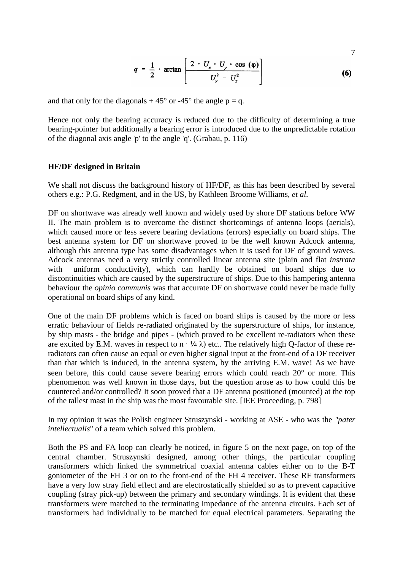$$
q = \frac{1}{2} \cdot \arctan\left[\frac{2 \cdot U_x \cdot U_y \cdot \cos(\varphi)}{U_y^2 - U_x^2}\right]
$$
 (6)

7

and that only for the diagonals  $+45^{\circ}$  or  $-45^{\circ}$  the angle p = q.

Hence not only the bearing accuracy is reduced due to the difficulty of determining a true bearing-pointer but additionally a bearing error is introduced due to the unpredictable rotation of the diagonal axis angle 'p' to the angle 'q'. (Grabau, p. 116)

## **HF/DF designed in Britain**

We shall not discuss the background history of HF/DF, as this has been described by several others e.g.: P.G. Redgment, and in the US, by Kathleen Broome Williams, *et al*.

DF on shortwave was already well known and widely used by shore DF stations before WW II. The main problem is to overcome the distinct shortcomings of antenna loops (aerials), which caused more or less severe bearing deviations (errors) especially on board ships. The best antenna system for DF on shortwave proved to be the well known Adcock antenna, although this antenna type has some disadvantages when it is used for DF of ground waves. Adcock antennas need a very strictly controlled linear antenna site (plain and flat *instrata*  with uniform conductivity), which can hardly be obtained on board ships due to discontinuities which are caused by the superstructure of ships. Due to this hampering antenna behaviour the *opinio communis* was that accurate DF on shortwave could never be made fully operational on board ships of any kind.

One of the main DF problems which is faced on board ships is caused by the more or less erratic behaviour of fields re-radiated originated by the superstructure of ships, for instance, by ship masts - the bridge and pipes - (which proved to be excellent re-radiators when these are excited by E.M. waves in respect to  $n \cdot \frac{1}{4} \lambda$  etc.. The relatively high Q-factor of these reradiators can often cause an equal or even higher signal input at the front-end of a DF receiver than that which is induced, in the antenna system, by the arriving E.M. wave! As we have seen before, this could cause severe bearing errors which could reach 20° or more. This phenomenon was well known in those days, but the question arose as to how could this be countered and/or controlled? It soon proved that a DF antenna positioned (mounted) at the top of the tallest mast in the ship was the most favourable site. [IEE Proceeding, p. 798]

In my opinion it was the Polish engineer Struszynski - working at ASE - who was the *"pater intellectualis*" of a team which solved this problem.

Both the PS and FA loop can clearly be noticed, in figure 5 on the next page, on top of the central chamber. Struszynski designed, among other things, the particular coupling transformers which linked the symmetrical coaxial antenna cables either on to the B-T goniometer of the FH 3 or on to the front-end of the FH 4 receiver. These RF transformers have a very low stray field effect and are electrostatically shielded so as to prevent capacitive coupling (stray pick-up) between the primary and secondary windings. It is evident that these transformers were matched to the terminating impedance of the antenna circuits. Each set of transformers had individually to be matched for equal electrical parameters. Separating the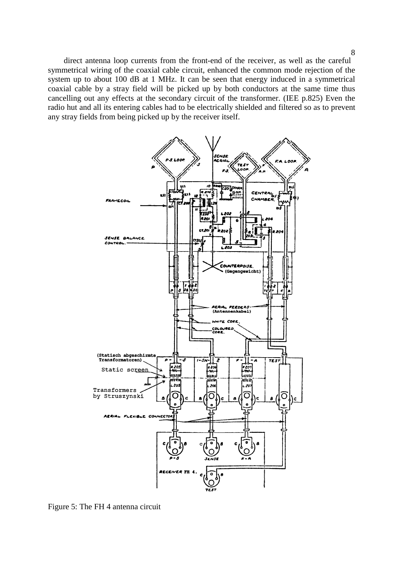direct antenna loop currents from the front-end of the receiver, as well as the careful symmetrical wiring of the coaxial cable circuit, enhanced the common mode rejection of the system up to about 100 dB at 1 MHz. It can be seen that energy induced in a symmetrical coaxial cable by a stray field will be picked up by both conductors at the same time thus cancelling out any effects at the secondary circuit of the transformer. (IEE p.825) Even the radio hut and all its entering cables had to be electrically shielded and filtered so as to prevent any stray fields from being picked up by the receiver itself.



Figure 5: The FH 4 antenna circuit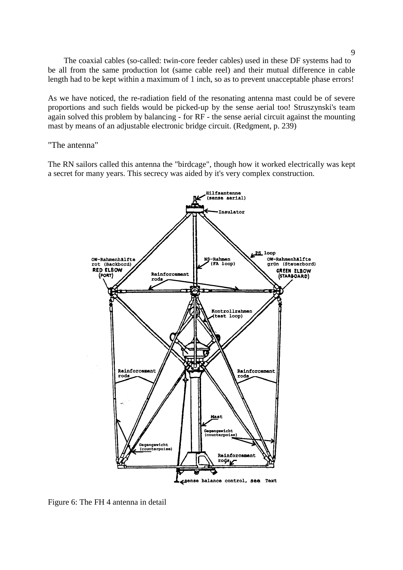The coaxial cables (so-called: twin-core feeder cables) used in these DF systems had to be all from the same production lot (same cable reel) and their mutual difference in cable length had to be kept within a maximum of 1 inch, so as to prevent unacceptable phase errors!

As we have noticed, the re-radiation field of the resonating antenna mast could be of severe proportions and such fields would be picked-up by the sense aerial too! Struszynski's team again solved this problem by balancing - for RF - the sense aerial circuit against the mounting mast by means of an adjustable electronic bridge circuit. (Redgment, p. 239)

"The antenna"

The RN sailors called this antenna the "birdcage", though how it worked electrically was kept a secret for many years. This secrecy was aided by it's very complex construction.



Figure 6: The FH 4 antenna in detail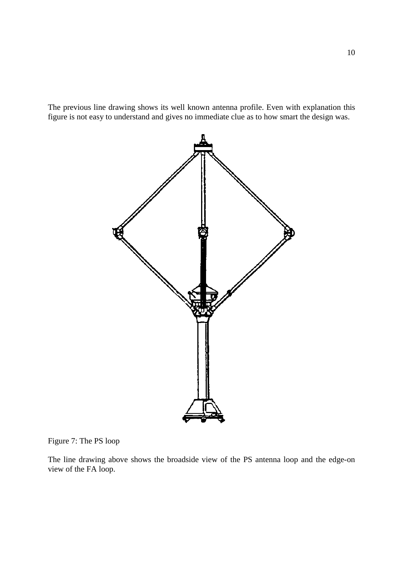The previous line drawing shows its well known antenna profile. Even with explanation this figure is not easy to understand and gives no immediate clue as to how smart the design was.



## Figure 7: The PS loop

The line drawing above shows the broadside view of the PS antenna loop and the edge-on view of the FA loop.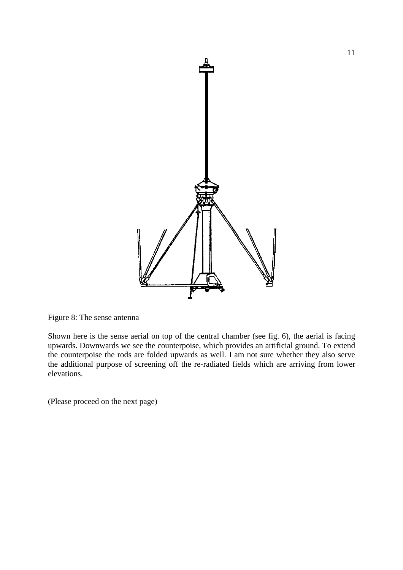

Figure 8: The sense antenna

Shown here is the sense aerial on top of the central chamber (see fig. 6), the aerial is facing upwards. Downwards we see the counterpoise, which provides an artificial ground. To extend the counterpoise the rods are folded upwards as well. I am not sure whether they also serve the additional purpose of screening off the re-radiated fields which are arriving from lower elevations.

(Please proceed on the next page)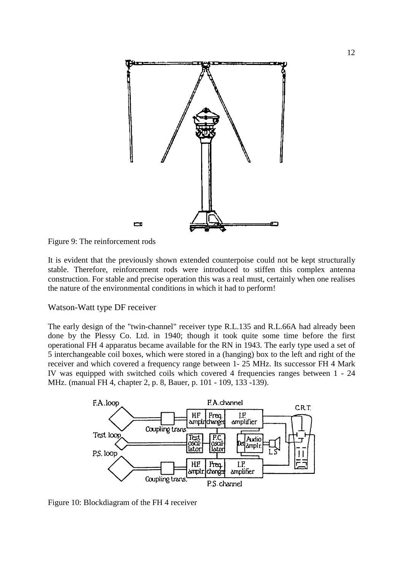

Figure 9: The reinforcement rods

It is evident that the previously shown extended counterpoise could not be kept structurally stable. Therefore, reinforcement rods were introduced to stiffen this complex antenna construction. For stable and precise operation this was a real must, certainly when one realises the nature of the environmental conditions in which it had to perform!

# Watson-Watt type DF receiver

The early design of the "twin-channel" receiver type R.L.135 and R.L.66A had already been done by the Plessy Co. Ltd. in 1940; though it took quite some time before the first operational FH 4 apparatus became available for the RN in 1943. The early type used a set of 5 interchangeable coil boxes, which were stored in a (hanging) box to the left and right of the receiver and which covered a frequency range between 1- 25 MHz. Its successor FH 4 Mark IV was equipped with switched coils which covered 4 frequencies ranges between 1 - 24 MHz. (manual FH 4, chapter 2, p. 8, Bauer, p. 101 - 109, 133 -139).



Figure 10: Blockdiagram of the FH 4 receiver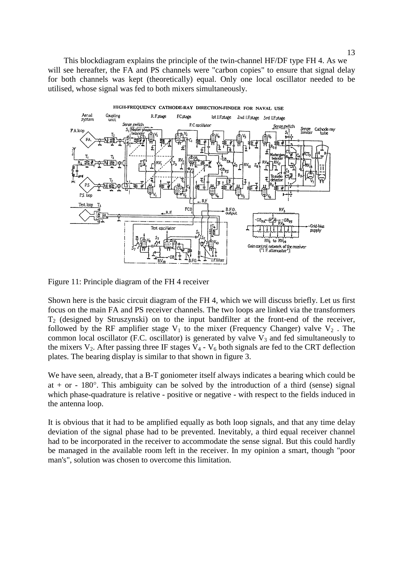This blockdiagram explains the principle of the twin-channel HF/DF type FH 4. As we will see hereafter, the FA and PS channels were "carbon copies" to ensure that signal delay for both channels was kept (theoretically) equal. Only one local oscillator needed to be utilised, whose signal was fed to both mixers simultaneously.



Figure 11: Principle diagram of the FH 4 receiver

Shown here is the basic circuit diagram of the FH 4, which we will discuss briefly. Let us first focus on the main FA and PS receiver channels. The two loops are linked via the transformers  $T_2$  (designed by Struszynski) on to the input bandfilter at the front-end of the receiver, followed by the RF amplifier stage  $V_1$  to the mixer (Frequency Changer) valve  $V_2$ . The common local oscillator (F.C. oscillator) is generated by valve  $V_3$  and fed simultaneously to the mixers  $V_2$ . After passing three IF stages  $V_4$  -  $V_6$  both signals are fed to the CRT deflection plates. The bearing display is similar to that shown in figure 3.

We have seen, already, that a B-T goniometer itself always indicates a bearing which could be at  $+$  or  $-$  180 $^{\circ}$ . This ambiguity can be solved by the introduction of a third (sense) signal which phase-quadrature is relative - positive or negative - with respect to the fields induced in the antenna loop.

It is obvious that it had to be amplified equally as both loop signals, and that any time delay deviation of the signal phase had to be prevented. Inevitably, a third equal receiver channel had to be incorporated in the receiver to accommodate the sense signal. But this could hardly be managed in the available room left in the receiver. In my opinion a smart, though "poor man's", solution was chosen to overcome this limitation.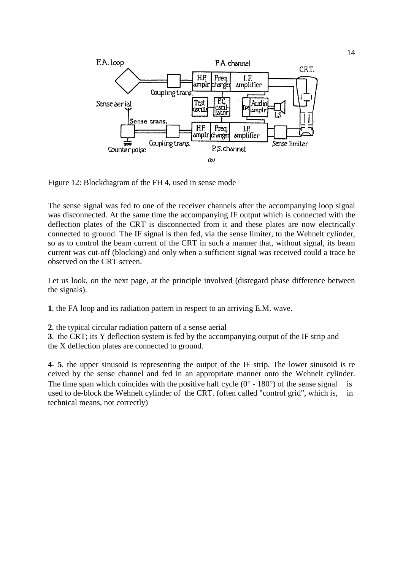

Figure 12: Blockdiagram of the FH 4, used in sense mode

The sense signal was fed to one of the receiver channels after the accompanying loop signal was disconnected. At the same time the accompanying IF output which is connected with the deflection plates of the CRT is disconnected from it and these plates are now electrically connected to ground. The IF signal is then fed, via the sense limiter, to the Wehnelt cylinder, so as to control the beam current of the CRT in such a manner that, without signal, its beam current was cut-off (blocking) and only when a sufficient signal was received could a trace be observed on the CRT screen.

Let us look, on the next page, at the principle involved (disregard phase difference between the signals).

**1**. the FA loop and its radiation pattern in respect to an arriving E.M. wave.

**2**. the typical circular radiation pattern of a sense aerial

**3**. the CRT; its Y deflection system is fed by the accompanying output of the IF strip and the X deflection plates are connected to ground.

**4**- **5**. the upper sinusoid is representing the output of the IF strip. The lower sinusoid is re ceived by the sense channel and fed in an appropriate manner onto the Wehnelt cylinder. The time span which coincides with the positive half cycle  $(0^{\circ} - 180^{\circ})$  of the sense signal is used to de-block the Wehnelt cylinder of the CRT. (often called "control grid", which is, in technical means, not correctly)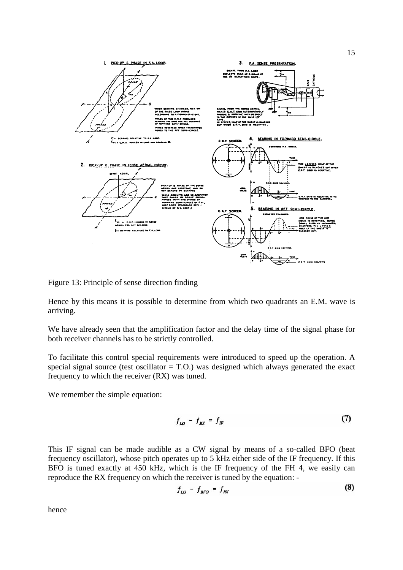

Figure 13: Principle of sense direction finding

Hence by this means it is possible to determine from which two quadrants an E.M. wave is arriving.

We have already seen that the amplification factor and the delay time of the signal phase for both receiver channels has to be strictly controlled.

To facilitate this control special requirements were introduced to speed up the operation. A special signal source (test oscillator  $=$  T.O.) was designed which always generated the exact frequency to which the receiver (RX) was tuned.

We remember the simple equation:

$$
f_{LO} - f_{RX} = f_{IF} \tag{7}
$$

This IF signal can be made audible as a CW signal by means of a so-called BFO (beat frequency oscillator), whose pitch operates up to 5 kHz either side of the IF frequency. If this BFO is tuned exactly at 450 kHz, which is the IF frequency of the FH 4, we easily can reproduce the RX frequency on which the receiver is tuned by the equation: -

$$
f_{LO} - f_{BFO} = f_{RX} \tag{8}
$$

hence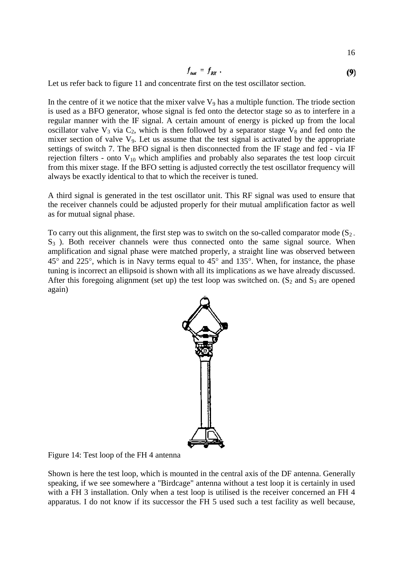$$
f_{test} = f_{RX} \tag{9}
$$

16

Let us refer back to figure 11 and concentrate first on the test oscillator section.

In the centre of it we notice that the mixer valve  $V_9$  has a multiple function. The triode section is used as a BFO generator, whose signal is fed onto the detector stage so as to interfere in a regular manner with the IF signal. A certain amount of energy is picked up from the local oscillator valve  $V_3$  via  $C_2$ , which is then followed by a separator stage  $V_8$  and fed onto the mixer section of valve  $V_9$ . Let us assume that the test signal is activated by the appropriate settings of switch 7. The BFO signal is then disconnected from the IF stage and fed - via IF rejection filters - onto  $V_{10}$  which amplifies and probably also separates the test loop circuit from this mixer stage. If the BFO setting is adjusted correctly the test oscillator frequency will always be exactly identical to that to which the receiver is tuned.

A third signal is generated in the test oscillator unit. This RF signal was used to ensure that the receiver channels could be adjusted properly for their mutual amplification factor as well as for mutual signal phase.

To carry out this alignment, the first step was to switch on the so-called comparator mode  $(S_2)$ .  $S<sub>3</sub>$ ). Both receiver channels were thus connected onto the same signal source. When amplification and signal phase were matched properly, a straight line was observed between 45° and 225°, which is in Navy terms equal to 45° and 135°. When, for instance, the phase tuning is incorrect an ellipsoid is shown with all its implications as we have already discussed. After this foregoing alignment (set up) the test loop was switched on.  $(S_2 \text{ and } S_3 \text{ are opened})$ again)



Figure 14: Test loop of the FH 4 antenna

Shown is here the test loop, which is mounted in the central axis of the DF antenna. Generally speaking, if we see somewhere a "Birdcage" antenna without a test loop it is certainly in used with a FH 3 installation. Only when a test loop is utilised is the receiver concerned an FH 4 apparatus. I do not know if its successor the FH 5 used such a test facility as well because,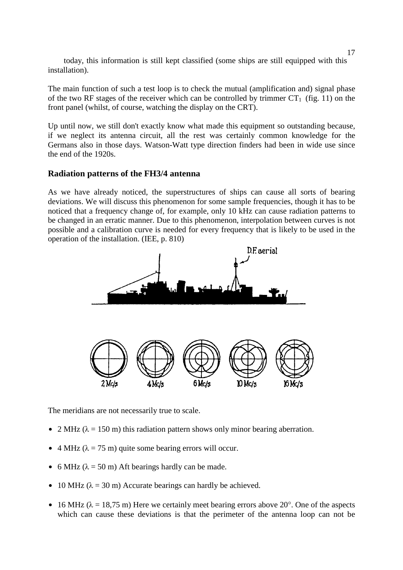today, this information is still kept classified (some ships are still equipped with this installation).

The main function of such a test loop is to check the mutual (amplification and) signal phase of the two RF stages of the receiver which can be controlled by trimmer  $CT_1$  (fig. 11) on the front panel (whilst, of course, watching the display on the CRT).

Up until now, we still don't exactly know what made this equipment so outstanding because, if we neglect its antenna circuit, all the rest was certainly common knowledge for the Germans also in those days. Watson-Watt type direction finders had been in wide use since the end of the 1920s.

### **Radiation patterns of the FH3/4 antenna**

As we have already noticed, the superstructures of ships can cause all sorts of bearing deviations. We will discuss this phenomenon for some sample frequencies, though it has to be noticed that a frequency change of, for example, only 10 kHz can cause radiation patterns to be changed in an erratic manner. Due to this phenomenon, interpolation between curves is not possible and a calibration curve is needed for every frequency that is likely to be used in the operation of the installation. (IEE, p. 810)



The meridians are not necessarily true to scale.

- $\bullet$  2 MHz ( $\lambda$  = 150 m) this radiation pattern shows only minor bearing aberration.
- $\bullet$  4 MHz ( $\lambda$  = 75 m) quite some bearing errors will occur.
- 6 MHz ( $\lambda$  = 50 m) Aft bearings hardly can be made.
- $\bullet$  10 MHz ( $\lambda = 30$  m) Accurate bearings can hardly be achieved.
- $\bullet$  16 MHz ( $\lambda$  = 18,75 m) Here we certainly meet bearing errors above 20°. One of the aspects which can cause these deviations is that the perimeter of the antenna loop can not be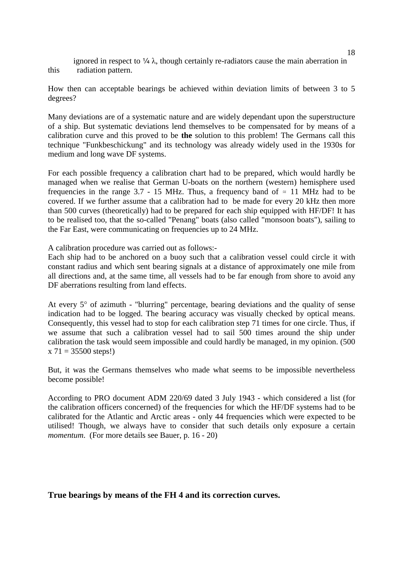ignored in respect to  $\frac{1}{4} \lambda$ , though certainly re-radiators cause the main aberration in this radiation pattern.

How then can acceptable bearings be achieved within deviation limits of between 3 to 5 degrees?

Many deviations are of a systematic nature and are widely dependant upon the superstructure of a ship. But systematic deviations lend themselves to be compensated for by means of a calibration curve and this proved to be **the** solution to this problem! The Germans call this technique "Funkbeschickung" and its technology was already widely used in the 1930s for medium and long wave DF systems.

For each possible frequency a calibration chart had to be prepared, which would hardly be managed when we realise that German U-boats on the northern (western) hemisphere used frequencies in the range 3.7 - 15 MHz. Thus, a frequency band of  $\approx$  11 MHz had to be covered. If we further assume that a calibration had to be made for every 20 kHz then more than 500 curves (theoretically) had to be prepared for each ship equipped with HF/DF! It has to be realised too, that the so-called "Penang" boats (also called "monsoon boats"), sailing to the Far East, were communicating on frequencies up to 24 MHz.

A calibration procedure was carried out as follows:-

Each ship had to be anchored on a buoy such that a calibration vessel could circle it with constant radius and which sent bearing signals at a distance of approximately one mile from all directions and, at the same time, all vessels had to be far enough from shore to avoid any DF aberrations resulting from land effects.

At every 5° of azimuth - "blurring" percentage, bearing deviations and the quality of sense indication had to be logged. The bearing accuracy was visually checked by optical means. Consequently, this vessel had to stop for each calibration step 71 times for one circle. Thus, if we assume that such a calibration vessel had to sail 500 times around the ship under calibration the task would seem impossible and could hardly be managed, in my opinion. (500  $x 71 = 35500$  steps!)

But, it was the Germans themselves who made what seems to be impossible nevertheless become possible!

According to PRO document ADM 220/69 dated 3 July 1943 - which considered a list (for the calibration officers concerned) of the frequencies for which the HF/DF systems had to be calibrated for the Atlantic and Arctic areas - only 44 frequencies which were expected to be utilised! Though, we always have to consider that such details only exposure a certain *momentum*. (For more details see Bauer, p. 16 - 20)

### **True bearings by means of the FH 4 and its correction curves.**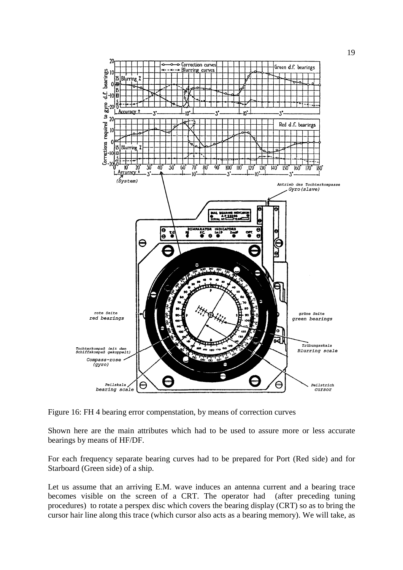

Figure 16: FH 4 bearing error compenstation, by means of correction curves

Shown here are the main attributes which had to be used to assure more or less accurate bearings by means of HF/DF.

For each frequency separate bearing curves had to be prepared for Port (Red side) and for Starboard (Green side) of a ship.

Let us assume that an arriving E.M. wave induces an antenna current and a bearing trace becomes visible on the screen of a CRT. The operator had (after preceding tuning procedures) to rotate a perspex disc which covers the bearing display (CRT) so as to bring the cursor hair line along this trace (which cursor also acts as a bearing memory). We will take, as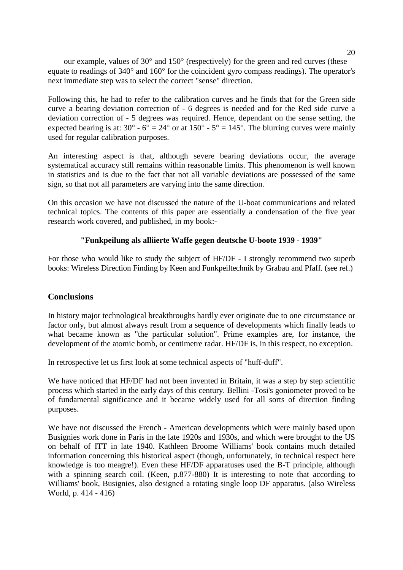our example, values of 30° and 150° (respectively) for the green and red curves (these equate to readings of 340° and 160° for the coincident gyro compass readings). The operator's next immediate step was to select the correct "sense" direction.

Following this, he had to refer to the calibration curves and he finds that for the Green side curve a bearing deviation correction of - 6 degrees is needed and for the Red side curve a deviation correction of - 5 degrees was required. Hence, dependant on the sense setting, the expected bearing is at:  $30^{\circ}$  -  $6^{\circ}$  =  $24^{\circ}$  or at  $150^{\circ}$  -  $5^{\circ}$  =  $145^{\circ}$ . The blurring curves were mainly used for regular calibration purposes.

An interesting aspect is that, although severe bearing deviations occur, the average systematical accuracy still remains within reasonable limits. This phenomenon is well known in statistics and is due to the fact that not all variable deviations are possessed of the same sign, so that not all parameters are varying into the same direction.

On this occasion we have not discussed the nature of the U-boat communications and related technical topics. The contents of this paper are essentially a condensation of the five year research work covered, and published, in my book:-

# **"Funkpeilung als alliierte Waffe gegen deutsche U-boote 1939 - 1939"**

For those who would like to study the subject of HF/DF - I strongly recommend two superb books: Wireless Direction Finding by Keen and Funkpeiltechnik by Grabau and Pfaff. (see ref.)

## **Conclusions**

In history major technological breakthroughs hardly ever originate due to one circumstance or factor only, but almost always result from a sequence of developments which finally leads to what became known as "the particular solution". Prime examples are, for instance, the development of the atomic bomb, or centimetre radar. HF/DF is, in this respect, no exception.

In retrospective let us first look at some technical aspects of "huff-duff".

We have noticed that HF/DF had not been invented in Britain, it was a step by step scientific process which started in the early days of this century. Bellini -Tosi's goniometer proved to be of fundamental significance and it became widely used for all sorts of direction finding purposes.

We have not discussed the French - American developments which were mainly based upon Busignies work done in Paris in the late 1920s and 1930s, and which were brought to the US on behalf of ITT in late 1940. Kathleen Broome Williams' book contains much detailed information concerning this historical aspect (though, unfortunately, in technical respect here knowledge is too meagre!). Even these HF/DF apparatuses used the B-T principle, although with a spinning search coil. (Keen, p.877-880) It is interesting to note that according to Williams' book, Busignies, also designed a rotating single loop DF apparatus. (also Wireless World, p. 414 - 416)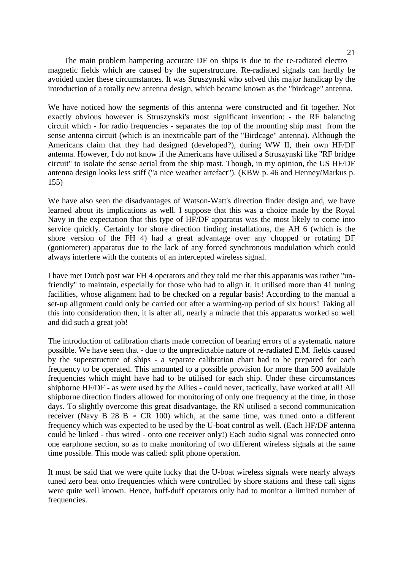The main problem hampering accurate DF on ships is due to the re-radiated electro magnetic fields which are caused by the superstructure. Re-radiated signals can hardly be avoided under these circumstances. It was Struszynski who solved this major handicap by the introduction of a totally new antenna design, which became known as the "birdcage" antenna.

We have noticed how the segments of this antenna were constructed and fit together. Not exactly obvious however is Struszynski's most significant invention: - the RF balancing circuit which - for radio frequencies - separates the top of the mounting ship mast from the sense antenna circuit (which is an inextricable part of the "Birdcage" antenna). Although the Americans claim that they had designed (developed?), during WW II, their own HF/DF antenna. However, I do not know if the Americans have utilised a Struszynski like "RF bridge circuit" to isolate the sense aerial from the ship mast. Though, in my opinion, the US HF/DF antenna design looks less stiff ("a nice weather artefact"). (KBW p. 46 and Henney/Markus p. 155)

We have also seen the disadvantages of Watson-Watt's direction finder design and, we have learned about its implications as well. I suppose that this was a choice made by the Royal Navy in the expectation that this type of HF/DF apparatus was the most likely to come into service quickly. Certainly for shore direction finding installations, the AH 6 (which is the shore version of the FH 4) had a great advantage over any chopped or rotating DF (goniometer) apparatus due to the lack of any forced synchronous modulation which could always interfere with the contents of an intercepted wireless signal.

I have met Dutch post war FH 4 operators and they told me that this apparatus was rather "unfriendly" to maintain, especially for those who had to align it. It utilised more than 41 tuning facilities, whose alignment had to be checked on a regular basis! According to the manual a set-up alignment could only be carried out after a warming-up period of six hours! Taking all this into consideration then, it is after all, nearly a miracle that this apparatus worked so well and did such a great job!

The introduction of calibration charts made correction of bearing errors of a systematic nature possible. We have seen that - due to the unpredictable nature of re-radiated E.M. fields caused by the superstructure of ships - a separate calibration chart had to be prepared for each frequency to be operated. This amounted to a possible provision for more than 500 available frequencies which might have had to be utilised for each ship. Under these circumstances shipborne HF/DF - as were used by the Allies - could never, tactically, have worked at all! All shipborne direction finders allowed for monitoring of only one frequency at the time, in those days. To slightly overcome this great disadvantage, the RN utilised a second communication receiver (Navy B 28 B  $\approx$  CR 100) which, at the same time, was tuned onto a different frequency which was expected to be used by the U-boat control as well. (Each HF/DF antenna could be linked - thus wired - onto one receiver only!) Each audio signal was connected onto one earphone section, so as to make monitoring of two different wireless signals at the same time possible. This mode was called: split phone operation.

It must be said that we were quite lucky that the U-boat wireless signals were nearly always tuned zero beat onto frequencies which were controlled by shore stations and these call signs were quite well known. Hence, huff-duff operators only had to monitor a limited number of frequencies.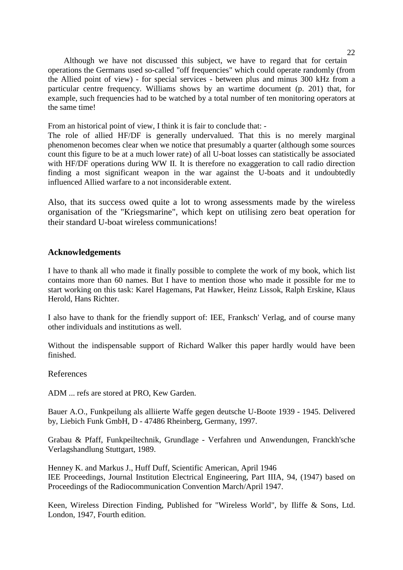Although we have not discussed this subject, we have to regard that for certain operations the Germans used so-called "off frequencies" which could operate randomly (from the Allied point of view) - for special services - between plus and minus 300 kHz from a particular centre frequency. Williams shows by an wartime document (p. 201) that, for example, such frequencies had to be watched by a total number of ten monitoring operators at the same time!

From an historical point of view, I think it is fair to conclude that: -

The role of allied HF/DF is generally undervalued. That this is no merely marginal phenomenon becomes clear when we notice that presumably a quarter (although some sources count this figure to be at a much lower rate) of all U-boat losses can statistically be associated with HF/DF operations during WW II. It is therefore no exaggeration to call radio direction finding a most significant weapon in the war against the U-boats and it undoubtedly influenced Allied warfare to a not inconsiderable extent.

Also, that its success owed quite a lot to wrong assessments made by the wireless organisation of the "Kriegsmarine", which kept on utilising zero beat operation for their standard U-boat wireless communications!

## **Acknowledgements**

I have to thank all who made it finally possible to complete the work of my book, which list contains more than 60 names. But I have to mention those who made it possible for me to start working on this task: Karel Hagemans, Pat Hawker, Heinz Lissok, Ralph Erskine, Klaus Herold, Hans Richter.

I also have to thank for the friendly support of: IEE, Franksch' Verlag, and of course many other individuals and institutions as well.

Without the indispensable support of Richard Walker this paper hardly would have been finished.

References

ADM ... refs are stored at PRO, Kew Garden.

Bauer A.O., Funkpeilung als alliierte Waffe gegen deutsche U-Boote 1939 - 1945. Delivered by, Liebich Funk GmbH, D - 47486 Rheinberg, Germany, 1997.

Grabau & Pfaff, Funkpeiltechnik, Grundlage - Verfahren und Anwendungen, Franckh'sche Verlagshandlung Stuttgart, 1989.

Henney K. and Markus J., Huff Duff, Scientific American, April 1946 IEE Proceedings, Journal Institution Electrical Engineering, Part IIIA, 94, (1947) based on Proceedings of the Radiocommunication Convention March/April 1947.

Keen, Wireless Direction Finding, Published for "Wireless World", by Iliffe & Sons, Ltd. London, 1947, Fourth edition.